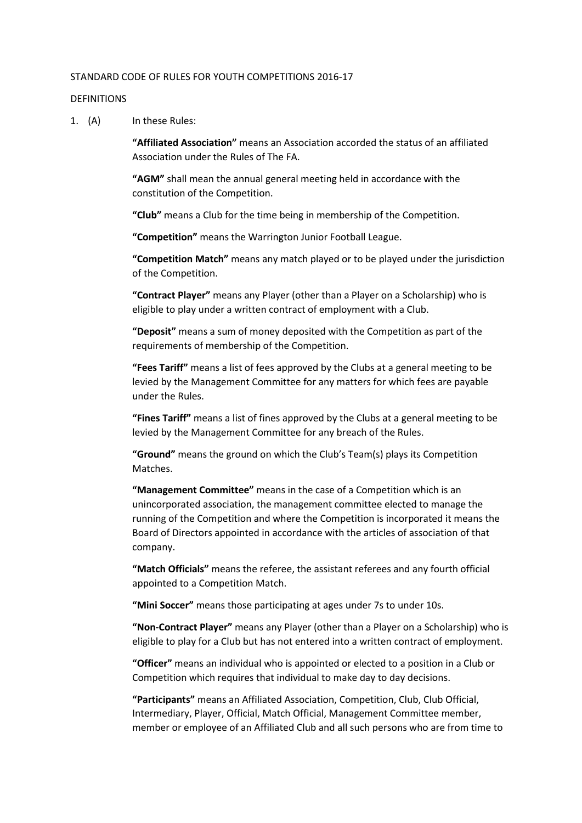#### STANDARD CODE OF RULES FOR YOUTH COMPETITIONS 2016-17

#### DEFINITIONS

1. (A) In these Rules:

**"Affiliated Association"** means an Association accorded the status of an affiliated Association under the Rules of The FA.

**"AGM"** shall mean the annual general meeting held in accordance with the constitution of the Competition.

**"Club"** means a Club for the time being in membership of the Competition.

**"Competition"** means the Warrington Junior Football League.

**"Competition Match"** means any match played or to be played under the jurisdiction of the Competition.

**"Contract Player"** means any Player (other than a Player on a Scholarship) who is eligible to play under a written contract of employment with a Club.

**"Deposit"** means a sum of money deposited with the Competition as part of the requirements of membership of the Competition.

**"Fees Tariff"** means a list of fees approved by the Clubs at a general meeting to be levied by the Management Committee for any matters for which fees are payable under the Rules.

**"Fines Tariff"** means a list of fines approved by the Clubs at a general meeting to be levied by the Management Committee for any breach of the Rules.

**"Ground"** means the ground on which the Club's Team(s) plays its Competition Matches.

**"Management Committee"** means in the case of a Competition which is an unincorporated association, the management committee elected to manage the running of the Competition and where the Competition is incorporated it means the Board of Directors appointed in accordance with the articles of association of that company.

**"Match Officials"** means the referee, the assistant referees and any fourth official appointed to a Competition Match.

**"Mini Soccer"** means those participating at ages under 7s to under 10s.

**"Non-Contract Player"** means any Player (other than a Player on a Scholarship) who is eligible to play for a Club but has not entered into a written contract of employment.

**"Officer"** means an individual who is appointed or elected to a position in a Club or Competition which requires that individual to make day to day decisions.

**"Participants"** means an Affiliated Association, Competition, Club, Club Official, Intermediary, Player, Official, Match Official, Management Committee member, member or employee of an Affiliated Club and all such persons who are from time to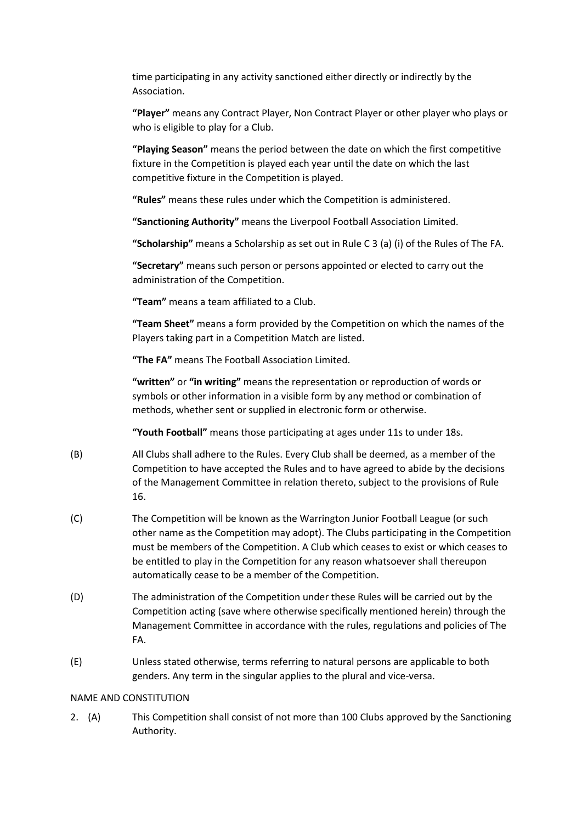time participating in any activity sanctioned either directly or indirectly by the Association.

**"Player"** means any Contract Player, Non Contract Player or other player who plays or who is eligible to play for a Club.

**"Playing Season"** means the period between the date on which the first competitive fixture in the Competition is played each year until the date on which the last competitive fixture in the Competition is played.

**"Rules"** means these rules under which the Competition is administered.

**"Sanctioning Authority"** means the Liverpool Football Association Limited.

**"Scholarship"** means a Scholarship as set out in Rule C 3 (a) (i) of the Rules of The FA.

**"Secretary"** means such person or persons appointed or elected to carry out the administration of the Competition.

**"Team"** means a team affiliated to a Club.

**"Team Sheet"** means a form provided by the Competition on which the names of the Players taking part in a Competition Match are listed.

**"The FA"** means The Football Association Limited.

**"written"** or **"in writing"** means the representation or reproduction of words or symbols or other information in a visible form by any method or combination of methods, whether sent or supplied in electronic form or otherwise.

**"Youth Football"** means those participating at ages under 11s to under 18s.

- (B) All Clubs shall adhere to the Rules. Every Club shall be deemed, as a member of the Competition to have accepted the Rules and to have agreed to abide by the decisions of the Management Committee in relation thereto, subject to the provisions of Rule 16.
- (C) The Competition will be known as the Warrington Junior Football League (or such other name as the Competition may adopt). The Clubs participating in the Competition must be members of the Competition. A Club which ceases to exist or which ceases to be entitled to play in the Competition for any reason whatsoever shall thereupon automatically cease to be a member of the Competition.
- (D) The administration of the Competition under these Rules will be carried out by the Competition acting (save where otherwise specifically mentioned herein) through the Management Committee in accordance with the rules, regulations and policies of The FA.
- (E) Unless stated otherwise, terms referring to natural persons are applicable to both genders. Any term in the singular applies to the plural and vice-versa.

### NAME AND CONSTITUTION

2. (A) This Competition shall consist of not more than 100 Clubs approved by the Sanctioning Authority.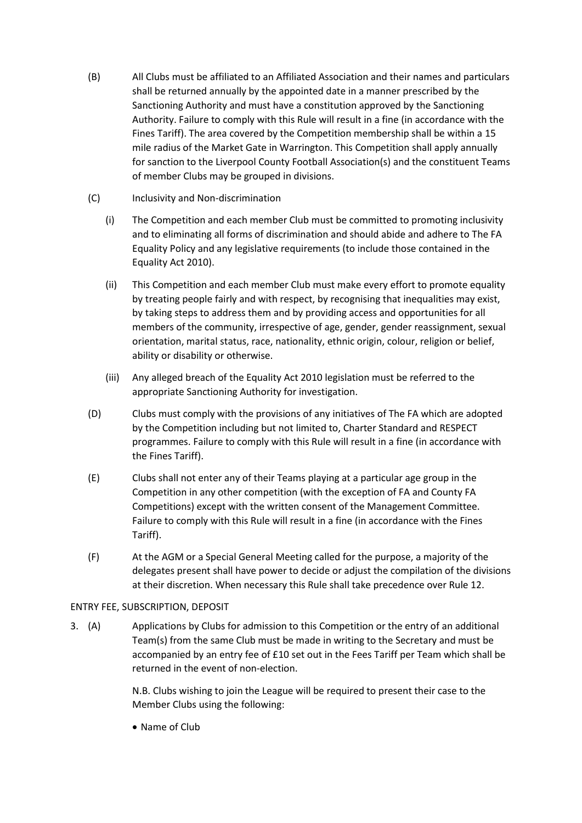- (B) All Clubs must be affiliated to an Affiliated Association and their names and particulars shall be returned annually by the appointed date in a manner prescribed by the Sanctioning Authority and must have a constitution approved by the Sanctioning Authority. Failure to comply with this Rule will result in a fine (in accordance with the Fines Tariff). The area covered by the Competition membership shall be within a 15 mile radius of the Market Gate in Warrington. This Competition shall apply annually for sanction to the Liverpool County Football Association(s) and the constituent Teams of member Clubs may be grouped in divisions.
- (C) Inclusivity and Non-discrimination
	- (i) The Competition and each member Club must be committed to promoting inclusivity and to eliminating all forms of discrimination and should abide and adhere to The FA Equality Policy and any legislative requirements (to include those contained in the Equality Act 2010).
	- (ii) This Competition and each member Club must make every effort to promote equality by treating people fairly and with respect, by recognising that inequalities may exist, by taking steps to address them and by providing access and opportunities for all members of the community, irrespective of age, gender, gender reassignment, sexual orientation, marital status, race, nationality, ethnic origin, colour, religion or belief, ability or disability or otherwise.
	- (iii) Any alleged breach of the Equality Act 2010 legislation must be referred to the appropriate Sanctioning Authority for investigation.
- (D) Clubs must comply with the provisions of any initiatives of The FA which are adopted by the Competition including but not limited to, Charter Standard and RESPECT programmes. Failure to comply with this Rule will result in a fine (in accordance with the Fines Tariff).
- (E) Clubs shall not enter any of their Teams playing at a particular age group in the Competition in any other competition (with the exception of FA and County FA Competitions) except with the written consent of the Management Committee. Failure to comply with this Rule will result in a fine (in accordance with the Fines Tariff).
- (F) At the AGM or a Special General Meeting called for the purpose, a majority of the delegates present shall have power to decide or adjust the compilation of the divisions at their discretion. When necessary this Rule shall take precedence over Rule 12.

# ENTRY FEE, SUBSCRIPTION, DEPOSIT

3. (A) Applications by Clubs for admission to this Competition or the entry of an additional Team(s) from the same Club must be made in writing to the Secretary and must be accompanied by an entry fee of £10 set out in the Fees Tariff per Team which shall be returned in the event of non-election.

> N.B. Clubs wishing to join the League will be required to present their case to the Member Clubs using the following:

• Name of Club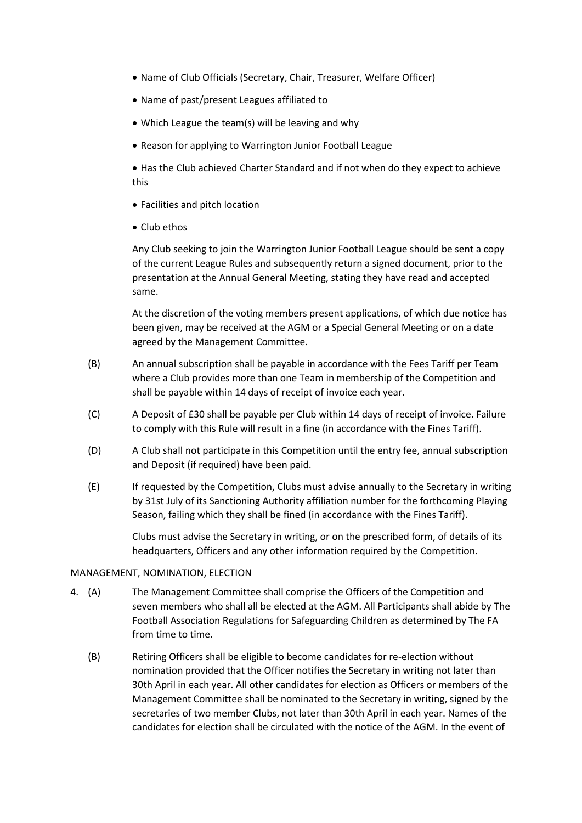- Name of Club Officials (Secretary, Chair, Treasurer, Welfare Officer)
- Name of past/present Leagues affiliated to
- Which League the team(s) will be leaving and why
- Reason for applying to Warrington Junior Football League

 Has the Club achieved Charter Standard and if not when do they expect to achieve this

- Facilities and pitch location
- Club ethos

Any Club seeking to join the Warrington Junior Football League should be sent a copy of the current League Rules and subsequently return a signed document, prior to the presentation at the Annual General Meeting, stating they have read and accepted same.

At the discretion of the voting members present applications, of which due notice has been given, may be received at the AGM or a Special General Meeting or on a date agreed by the Management Committee.

- (B) An annual subscription shall be payable in accordance with the Fees Tariff per Team where a Club provides more than one Team in membership of the Competition and shall be payable within 14 days of receipt of invoice each year.
- (C) A Deposit of £30 shall be payable per Club within 14 days of receipt of invoice. Failure to comply with this Rule will result in a fine (in accordance with the Fines Tariff).
- (D) A Club shall not participate in this Competition until the entry fee, annual subscription and Deposit (if required) have been paid.
- (E) If requested by the Competition, Clubs must advise annually to the Secretary in writing by 31st July of its Sanctioning Authority affiliation number for the forthcoming Playing Season, failing which they shall be fined (in accordance with the Fines Tariff).

Clubs must advise the Secretary in writing, or on the prescribed form, of details of its headquarters, Officers and any other information required by the Competition.

#### MANAGEMENT, NOMINATION, ELECTION

- 4. (A) The Management Committee shall comprise the Officers of the Competition and seven members who shall all be elected at the AGM. All Participants shall abide by The Football Association Regulations for Safeguarding Children as determined by The FA from time to time.
	- (B) Retiring Officers shall be eligible to become candidates for re-election without nomination provided that the Officer notifies the Secretary in writing not later than 30th April in each year. All other candidates for election as Officers or members of the Management Committee shall be nominated to the Secretary in writing, signed by the secretaries of two member Clubs, not later than 30th April in each year. Names of the candidates for election shall be circulated with the notice of the AGM. In the event of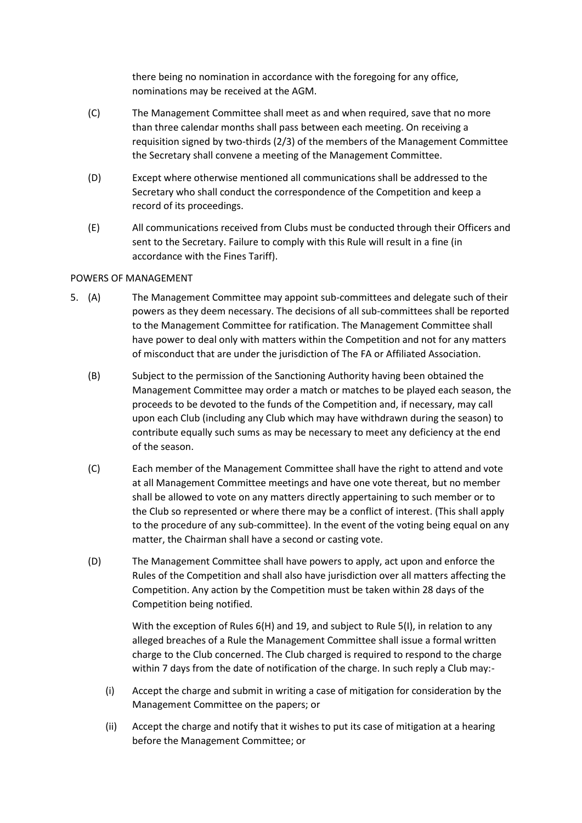there being no nomination in accordance with the foregoing for any office, nominations may be received at the AGM.

- (C) The Management Committee shall meet as and when required, save that no more than three calendar months shall pass between each meeting. On receiving a requisition signed by two-thirds (2/3) of the members of the Management Committee the Secretary shall convene a meeting of the Management Committee.
- (D) Except where otherwise mentioned all communications shall be addressed to the Secretary who shall conduct the correspondence of the Competition and keep a record of its proceedings.
- (E) All communications received from Clubs must be conducted through their Officers and sent to the Secretary. Failure to comply with this Rule will result in a fine (in accordance with the Fines Tariff).

### POWERS OF MANAGEMENT

- 5. (A) The Management Committee may appoint sub-committees and delegate such of their powers as they deem necessary. The decisions of all sub-committees shall be reported to the Management Committee for ratification. The Management Committee shall have power to deal only with matters within the Competition and not for any matters of misconduct that are under the jurisdiction of The FA or Affiliated Association.
	- (B) Subject to the permission of the Sanctioning Authority having been obtained the Management Committee may order a match or matches to be played each season, the proceeds to be devoted to the funds of the Competition and, if necessary, may call upon each Club (including any Club which may have withdrawn during the season) to contribute equally such sums as may be necessary to meet any deficiency at the end of the season.
	- (C) Each member of the Management Committee shall have the right to attend and vote at all Management Committee meetings and have one vote thereat, but no member shall be allowed to vote on any matters directly appertaining to such member or to the Club so represented or where there may be a conflict of interest. (This shall apply to the procedure of any sub-committee). In the event of the voting being equal on any matter, the Chairman shall have a second or casting vote.
	- (D) The Management Committee shall have powers to apply, act upon and enforce the Rules of the Competition and shall also have jurisdiction over all matters affecting the Competition. Any action by the Competition must be taken within 28 days of the Competition being notified.

With the exception of Rules  $6(H)$  and 19, and subject to Rule 5(I), in relation to any alleged breaches of a Rule the Management Committee shall issue a formal written charge to the Club concerned. The Club charged is required to respond to the charge within 7 days from the date of notification of the charge. In such reply a Club may:-

- (i) Accept the charge and submit in writing a case of mitigation for consideration by the Management Committee on the papers; or
- (ii) Accept the charge and notify that it wishes to put its case of mitigation at a hearing before the Management Committee; or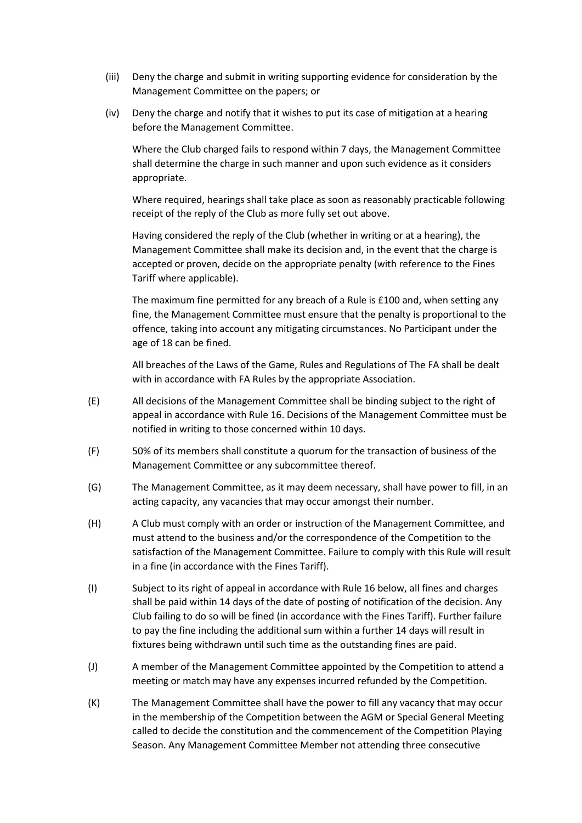- (iii) Deny the charge and submit in writing supporting evidence for consideration by the Management Committee on the papers; or
- (iv) Deny the charge and notify that it wishes to put its case of mitigation at a hearing before the Management Committee.

Where the Club charged fails to respond within 7 days, the Management Committee shall determine the charge in such manner and upon such evidence as it considers appropriate.

Where required, hearings shall take place as soon as reasonably practicable following receipt of the reply of the Club as more fully set out above.

Having considered the reply of the Club (whether in writing or at a hearing), the Management Committee shall make its decision and, in the event that the charge is accepted or proven, decide on the appropriate penalty (with reference to the Fines Tariff where applicable).

The maximum fine permitted for any breach of a Rule is £100 and, when setting any fine, the Management Committee must ensure that the penalty is proportional to the offence, taking into account any mitigating circumstances. No Participant under the age of 18 can be fined.

All breaches of the Laws of the Game, Rules and Regulations of The FA shall be dealt with in accordance with FA Rules by the appropriate Association.

- (E) All decisions of the Management Committee shall be binding subject to the right of appeal in accordance with Rule 16. Decisions of the Management Committee must be notified in writing to those concerned within 10 days.
- (F) 50% of its members shall constitute a quorum for the transaction of business of the Management Committee or any subcommittee thereof.
- (G) The Management Committee, as it may deem necessary, shall have power to fill, in an acting capacity, any vacancies that may occur amongst their number.
- (H) A Club must comply with an order or instruction of the Management Committee, and must attend to the business and/or the correspondence of the Competition to the satisfaction of the Management Committee. Failure to comply with this Rule will result in a fine (in accordance with the Fines Tariff).
- (I) Subject to its right of appeal in accordance with Rule 16 below, all fines and charges shall be paid within 14 days of the date of posting of notification of the decision. Any Club failing to do so will be fined (in accordance with the Fines Tariff). Further failure to pay the fine including the additional sum within a further 14 days will result in fixtures being withdrawn until such time as the outstanding fines are paid.
- (J) A member of the Management Committee appointed by the Competition to attend a meeting or match may have any expenses incurred refunded by the Competition.
- (K) The Management Committee shall have the power to fill any vacancy that may occur in the membership of the Competition between the AGM or Special General Meeting called to decide the constitution and the commencement of the Competition Playing Season. Any Management Committee Member not attending three consecutive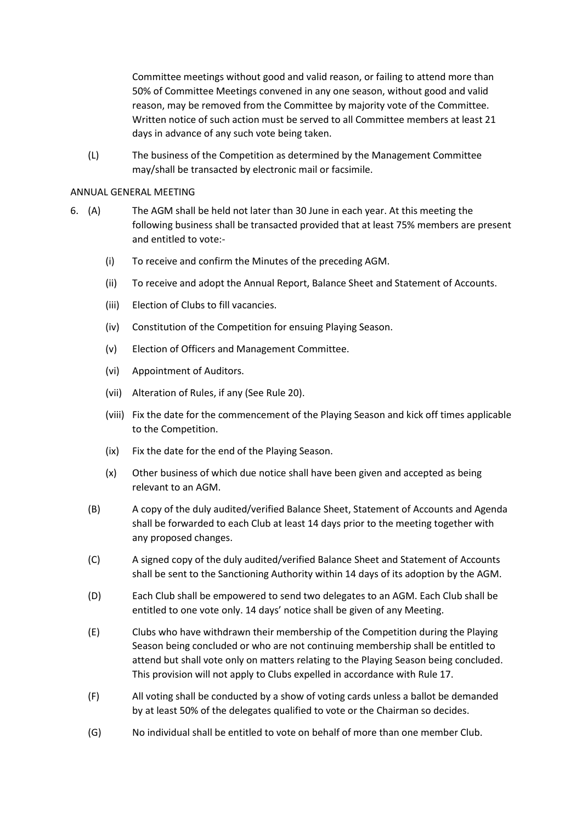Committee meetings without good and valid reason, or failing to attend more than 50% of Committee Meetings convened in any one season, without good and valid reason, may be removed from the Committee by majority vote of the Committee. Written notice of such action must be served to all Committee members at least 21 days in advance of any such vote being taken.

(L) The business of the Competition as determined by the Management Committee may/shall be transacted by electronic mail or facsimile.

#### ANNUAL GENERAL MEETING

- 6. (A) The AGM shall be held not later than 30 June in each year. At this meeting the following business shall be transacted provided that at least 75% members are present and entitled to vote:-
	- (i) To receive and confirm the Minutes of the preceding AGM.
	- (ii) To receive and adopt the Annual Report, Balance Sheet and Statement of Accounts.
	- (iii) Election of Clubs to fill vacancies.
	- (iv) Constitution of the Competition for ensuing Playing Season.
	- (v) Election of Officers and Management Committee.
	- (vi) Appointment of Auditors.
	- (vii) Alteration of Rules, if any (See Rule 20).
	- (viii) Fix the date for the commencement of the Playing Season and kick off times applicable to the Competition.
	- (ix) Fix the date for the end of the Playing Season.
	- (x) Other business of which due notice shall have been given and accepted as being relevant to an AGM.
	- (B) A copy of the duly audited/verified Balance Sheet, Statement of Accounts and Agenda shall be forwarded to each Club at least 14 days prior to the meeting together with any proposed changes.
	- (C) A signed copy of the duly audited/verified Balance Sheet and Statement of Accounts shall be sent to the Sanctioning Authority within 14 days of its adoption by the AGM.
	- (D) Each Club shall be empowered to send two delegates to an AGM. Each Club shall be entitled to one vote only. 14 days' notice shall be given of any Meeting.
	- (E) Clubs who have withdrawn their membership of the Competition during the Playing Season being concluded or who are not continuing membership shall be entitled to attend but shall vote only on matters relating to the Playing Season being concluded. This provision will not apply to Clubs expelled in accordance with Rule 17.
	- (F) All voting shall be conducted by a show of voting cards unless a ballot be demanded by at least 50% of the delegates qualified to vote or the Chairman so decides.
	- (G) No individual shall be entitled to vote on behalf of more than one member Club.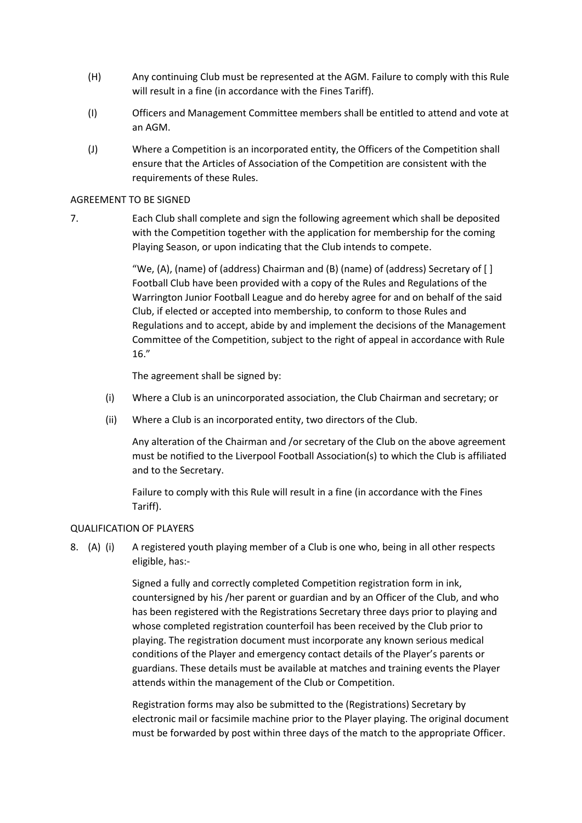- (H) Any continuing Club must be represented at the AGM. Failure to comply with this Rule will result in a fine (in accordance with the Fines Tariff).
- (I) Officers and Management Committee members shall be entitled to attend and vote at an AGM.
- (J) Where a Competition is an incorporated entity, the Officers of the Competition shall ensure that the Articles of Association of the Competition are consistent with the requirements of these Rules.

### AGREEMENT TO BE SIGNED

7. Each Club shall complete and sign the following agreement which shall be deposited with the Competition together with the application for membership for the coming Playing Season, or upon indicating that the Club intends to compete.

> "We, (A), (name) of (address) Chairman and (B) (name) of (address) Secretary of [ ] Football Club have been provided with a copy of the Rules and Regulations of the Warrington Junior Football League and do hereby agree for and on behalf of the said Club, if elected or accepted into membership, to conform to those Rules and Regulations and to accept, abide by and implement the decisions of the Management Committee of the Competition, subject to the right of appeal in accordance with Rule 16."

The agreement shall be signed by:

- (i) Where a Club is an unincorporated association, the Club Chairman and secretary; or
- (ii) Where a Club is an incorporated entity, two directors of the Club.

Any alteration of the Chairman and /or secretary of the Club on the above agreement must be notified to the Liverpool Football Association(s) to which the Club is affiliated and to the Secretary.

Failure to comply with this Rule will result in a fine (in accordance with the Fines Tariff).

#### QUALIFICATION OF PLAYERS

8. (A) (i) A registered youth playing member of a Club is one who, being in all other respects eligible, has:-

> Signed a fully and correctly completed Competition registration form in ink, countersigned by his /her parent or guardian and by an Officer of the Club, and who has been registered with the Registrations Secretary three days prior to playing and whose completed registration counterfoil has been received by the Club prior to playing. The registration document must incorporate any known serious medical conditions of the Player and emergency contact details of the Player's parents or guardians. These details must be available at matches and training events the Player attends within the management of the Club or Competition.

Registration forms may also be submitted to the (Registrations) Secretary by electronic mail or facsimile machine prior to the Player playing. The original document must be forwarded by post within three days of the match to the appropriate Officer.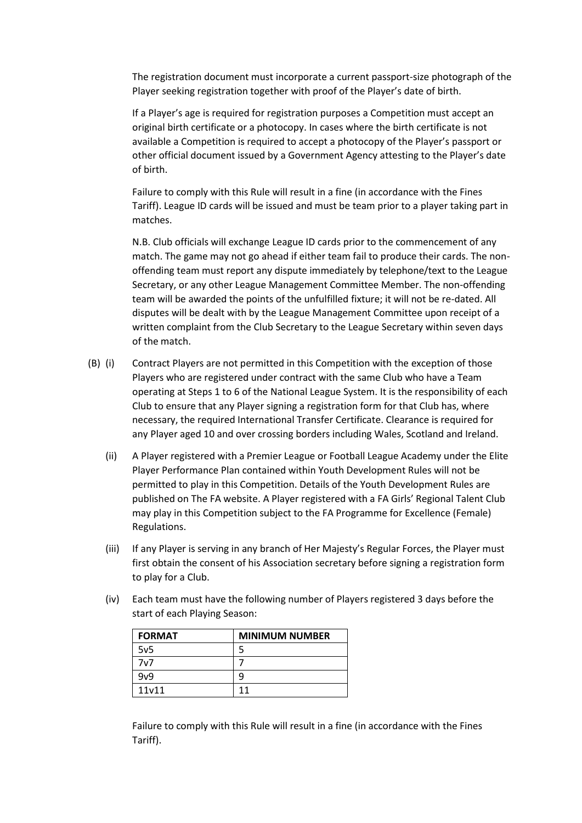The registration document must incorporate a current passport-size photograph of the Player seeking registration together with proof of the Player's date of birth.

If a Player's age is required for registration purposes a Competition must accept an original birth certificate or a photocopy. In cases where the birth certificate is not available a Competition is required to accept a photocopy of the Player's passport or other official document issued by a Government Agency attesting to the Player's date of birth.

Failure to comply with this Rule will result in a fine (in accordance with the Fines Tariff). League ID cards will be issued and must be team prior to a player taking part in matches.

N.B. Club officials will exchange League ID cards prior to the commencement of any match. The game may not go ahead if either team fail to produce their cards. The nonoffending team must report any dispute immediately by telephone/text to the League Secretary, or any other League Management Committee Member. The non-offending team will be awarded the points of the unfulfilled fixture; it will not be re-dated. All disputes will be dealt with by the League Management Committee upon receipt of a written complaint from the Club Secretary to the League Secretary within seven days of the match.

- (B) (i) Contract Players are not permitted in this Competition with the exception of those Players who are registered under contract with the same Club who have a Team operating at Steps 1 to 6 of the National League System. It is the responsibility of each Club to ensure that any Player signing a registration form for that Club has, where necessary, the required International Transfer Certificate. Clearance is required for any Player aged 10 and over crossing borders including Wales, Scotland and Ireland.
	- (ii) A Player registered with a Premier League or Football League Academy under the Elite Player Performance Plan contained within Youth Development Rules will not be permitted to play in this Competition. Details of the Youth Development Rules are published on The FA website. A Player registered with a FA Girls' Regional Talent Club may play in this Competition subject to the FA Programme for Excellence (Female) Regulations.
	- (iii) If any Player is serving in any branch of Her Majesty's Regular Forces, the Player must first obtain the consent of his Association secretary before signing a registration form to play for a Club.
	- (iv) Each team must have the following number of Players registered 3 days before the start of each Playing Season:

| <b>FORMAT</b>   | <b>MINIMUM NUMBER</b> |
|-----------------|-----------------------|
| 5v <sub>5</sub> |                       |
| 7v7             |                       |
| 9v9             | q                     |
| 11v11           | 11                    |

Failure to comply with this Rule will result in a fine (in accordance with the Fines Tariff).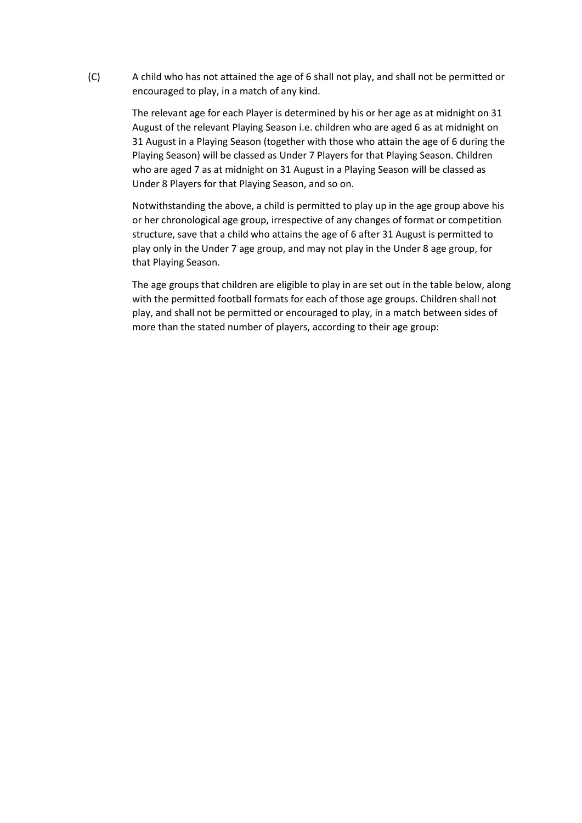(C) A child who has not attained the age of 6 shall not play, and shall not be permitted or encouraged to play, in a match of any kind.

> The relevant age for each Player is determined by his or her age as at midnight on 31 August of the relevant Playing Season i.e. children who are aged 6 as at midnight on 31 August in a Playing Season (together with those who attain the age of 6 during the Playing Season) will be classed as Under 7 Players for that Playing Season. Children who are aged 7 as at midnight on 31 August in a Playing Season will be classed as Under 8 Players for that Playing Season, and so on.

> Notwithstanding the above, a child is permitted to play up in the age group above his or her chronological age group, irrespective of any changes of format or competition structure, save that a child who attains the age of 6 after 31 August is permitted to play only in the Under 7 age group, and may not play in the Under 8 age group, for that Playing Season.

The age groups that children are eligible to play in are set out in the table below, along with the permitted football formats for each of those age groups. Children shall not play, and shall not be permitted or encouraged to play, in a match between sides of more than the stated number of players, according to their age group: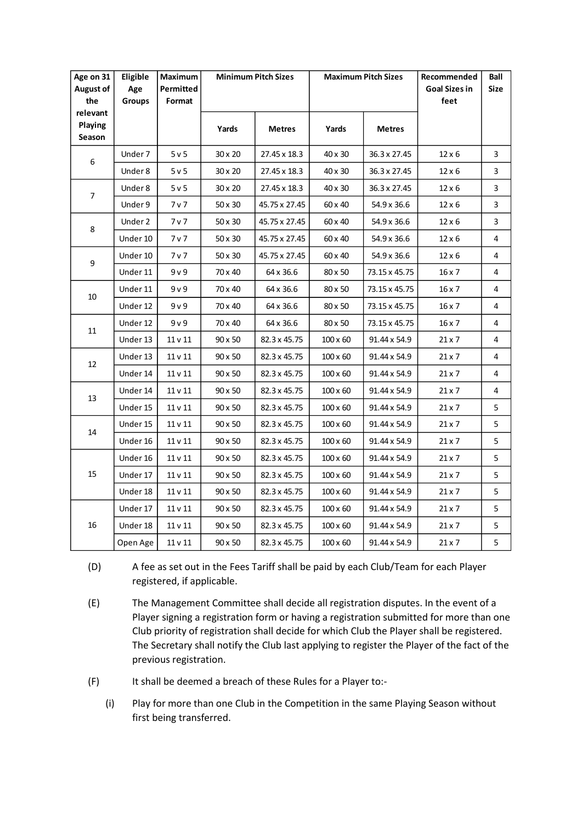| Age on 31<br><b>August of</b><br>the | Eligible<br>Age<br><b>Groups</b> | Maximum<br>Permitted<br>Format | <b>Minimum Pitch Sizes</b> |               | <b>Maximum Pitch Sizes</b> |               | Recommended<br>Goal Sizes in<br>feet | Ball<br><b>Size</b> |
|--------------------------------------|----------------------------------|--------------------------------|----------------------------|---------------|----------------------------|---------------|--------------------------------------|---------------------|
| relevant<br>Playing<br>Season        |                                  |                                | Yards                      | <b>Metres</b> | Yards                      | <b>Metres</b> |                                      |                     |
| 6                                    | Under 7                          | 5v5                            | 30 x 20                    | 27.45 x 18.3  | 40 x 30                    | 36.3 x 27.45  | $12 \times 6$                        | 3                   |
|                                      | Under 8                          | 5v5                            | 30 x 20                    | 27.45 x 18.3  | 40 x 30                    | 36.3 x 27.45  | 12 x 6                               | 3                   |
| 7                                    | Under 8                          | 5v5                            | 30 x 20                    | 27.45 x 18.3  | 40 x 30                    | 36.3 x 27.45  | $12 \times 6$                        | 3                   |
|                                      | Under 9                          | 7 v 7                          | 50 x 30                    | 45.75 x 27.45 | 60 x 40                    | 54.9 x 36.6   | 12 x 6                               | 3                   |
| 8                                    | Under 2                          | 7 v 7                          | 50 x 30                    | 45.75 x 27.45 | 60 x 40                    | 54.9 x 36.6   | 12 x 6                               | 3                   |
|                                      | Under 10                         | 7 v 7                          | 50 x 30                    | 45.75 x 27.45 | 60 x 40                    | 54.9 x 36.6   | 12 x 6                               | 4                   |
|                                      | Under 10                         | 7 <sub>v</sub>                 | 50 x 30                    | 45.75 x 27.45 | 60 x 40                    | 54.9 x 36.6   | 12 x 6                               | 4                   |
| 9                                    | Under 11                         | 9v9                            | 70 x 40                    | 64 x 36.6     | 80 x 50                    | 73.15 x 45.75 | $16 \times 7$                        | 4                   |
|                                      | Under 11                         | 9v9                            | 70 x 40                    | 64 x 36.6     | 80 x 50                    | 73.15 x 45.75 | $16 \times 7$                        | 4                   |
| 10                                   | Under 12                         | 9 v 9                          | 70 x 40                    | 64 x 36.6     | 80 x 50                    | 73.15 x 45.75 | 16 x 7                               | 4                   |
| 11                                   | Under 12                         | 9v9                            | 70 x 40                    | 64 x 36.6     | 80 x 50                    | 73.15 x 45.75 | 16 x 7                               | 4                   |
|                                      | Under 13                         | 11 v 11                        | 90 x 50                    | 82.3 x 45.75  | $100 \times 60$            | 91.44 x 54.9  | $21 \times 7$                        | 4                   |
| 12                                   | Under 13                         | 11 v 11                        | $90 \times 50$             | 82.3 x 45.75  | $100 \times 60$            | 91.44 x 54.9  | $21 \times 7$                        | 4                   |
|                                      | Under 14                         | 11 v 11                        | 90 x 50                    | 82.3 x 45.75  | $100 \times 60$            | 91.44 x 54.9  | 21 x 7                               | 4                   |
|                                      | Under 14                         | 11 v 11                        | 90 x 50                    | 82.3 x 45.75  | $100 \times 60$            | 91.44 x 54.9  | $21 \times 7$                        | 4                   |
| 13                                   | Under 15                         | $11 v11$                       | 90 x 50                    | 82.3 x 45.75  | 100 x 60                   | 91.44 x 54.9  | $21 \times 7$                        | 5                   |
| 14                                   | Under 15                         | 11 v 11                        | 90 x 50                    | 82.3 x 45.75  | $100 \times 60$            | 91.44 x 54.9  | 21 x 7                               | 5                   |
|                                      | Under 16                         | 11 <sub>v</sub> 11             | 90 x 50                    | 82.3 x 45.75  | $100 \times 60$            | 91.44 x 54.9  | 21 x 7                               | 5                   |
| 15                                   | Under 16                         | 11 v 11                        | 90 x 50                    | 82.3 x 45.75  | $100 \times 60$            | 91.44 x 54.9  | 21 x 7                               | 5                   |
|                                      | Under 17                         | 11 v 11                        | 90 x 50                    | 82.3 x 45.75  | $100 \times 60$            | 91.44 x 54.9  | $21 \times 7$                        | 5                   |
|                                      | Under 18                         | 11 v 11                        | 90 x 50                    | 82.3 x 45.75  | $100 \times 60$            | 91.44 x 54.9  | $21 \times 7$                        | 5                   |
|                                      | Under 17                         | 11 v 11                        | 90 x 50                    | 82.3 x 45.75  | $100 \times 60$            | 91.44 x 54.9  | $21 \times 7$                        | 5                   |
| 16                                   | Under 18                         | 11 v 11                        | 90 x 50                    | 82.3 x 45.75  | $100 \times 60$            | 91.44 x 54.9  | 21 x 7                               | 5                   |
|                                      | Open Age                         | 11 v 11                        | 90 x 50                    | 82.3 x 45.75  | $100 \times 60$            | 91.44 x 54.9  | $21 \times 7$                        | 5                   |

- (D) A fee as set out in the Fees Tariff shall be paid by each Club/Team for each Player registered, if applicable.
- (E) The Management Committee shall decide all registration disputes. In the event of a Player signing a registration form or having a registration submitted for more than one Club priority of registration shall decide for which Club the Player shall be registered. The Secretary shall notify the Club last applying to register the Player of the fact of the previous registration.
- (F) It shall be deemed a breach of these Rules for a Player to:-
	- (i) Play for more than one Club in the Competition in the same Playing Season without first being transferred.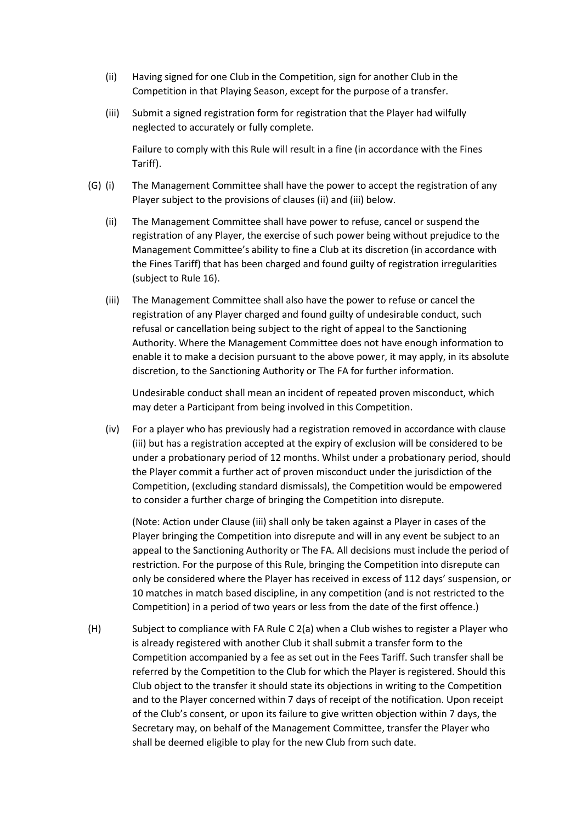- (ii) Having signed for one Club in the Competition, sign for another Club in the Competition in that Playing Season, except for the purpose of a transfer.
- (iii) Submit a signed registration form for registration that the Player had wilfully neglected to accurately or fully complete.

Failure to comply with this Rule will result in a fine (in accordance with the Fines Tariff).

- (G) (i) The Management Committee shall have the power to accept the registration of any Player subject to the provisions of clauses (ii) and (iii) below.
	- (ii) The Management Committee shall have power to refuse, cancel or suspend the registration of any Player, the exercise of such power being without prejudice to the Management Committee's ability to fine a Club at its discretion (in accordance with the Fines Tariff) that has been charged and found guilty of registration irregularities (subject to Rule 16).
	- (iii) The Management Committee shall also have the power to refuse or cancel the registration of any Player charged and found guilty of undesirable conduct, such refusal or cancellation being subject to the right of appeal to the Sanctioning Authority. Where the Management Committee does not have enough information to enable it to make a decision pursuant to the above power, it may apply, in its absolute discretion, to the Sanctioning Authority or The FA for further information.

Undesirable conduct shall mean an incident of repeated proven misconduct, which may deter a Participant from being involved in this Competition.

(iv) For a player who has previously had a registration removed in accordance with clause (iii) but has a registration accepted at the expiry of exclusion will be considered to be under a probationary period of 12 months. Whilst under a probationary period, should the Player commit a further act of proven misconduct under the jurisdiction of the Competition, (excluding standard dismissals), the Competition would be empowered to consider a further charge of bringing the Competition into disrepute.

(Note: Action under Clause (iii) shall only be taken against a Player in cases of the Player bringing the Competition into disrepute and will in any event be subject to an appeal to the Sanctioning Authority or The FA. All decisions must include the period of restriction. For the purpose of this Rule, bringing the Competition into disrepute can only be considered where the Player has received in excess of 112 days' suspension, or 10 matches in match based discipline, in any competition (and is not restricted to the Competition) in a period of two years or less from the date of the first offence.)

(H) Subject to compliance with FA Rule C 2(a) when a Club wishes to register a Player who is already registered with another Club it shall submit a transfer form to the Competition accompanied by a fee as set out in the Fees Tariff. Such transfer shall be referred by the Competition to the Club for which the Player is registered. Should this Club object to the transfer it should state its objections in writing to the Competition and to the Player concerned within 7 days of receipt of the notification. Upon receipt of the Club's consent, or upon its failure to give written objection within 7 days, the Secretary may, on behalf of the Management Committee, transfer the Player who shall be deemed eligible to play for the new Club from such date.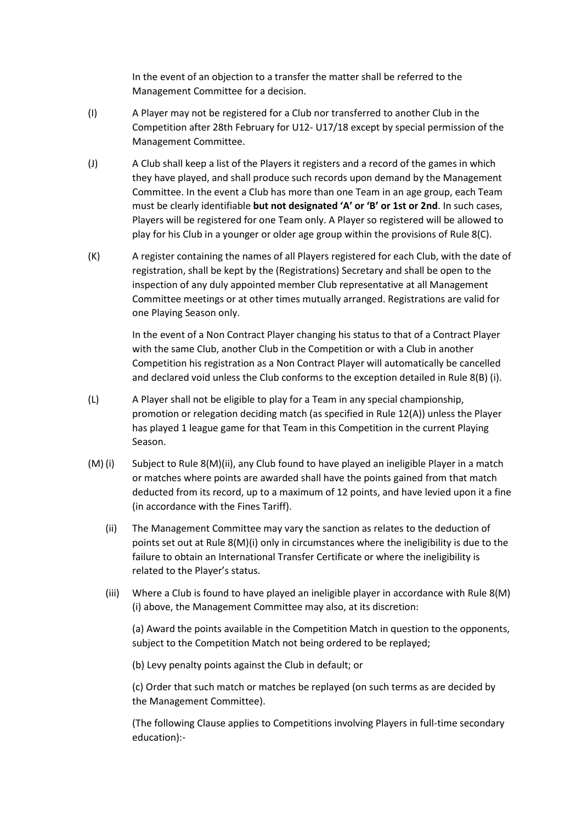In the event of an objection to a transfer the matter shall be referred to the Management Committee for a decision.

- (I) A Player may not be registered for a Club nor transferred to another Club in the Competition after 28th February for U12- U17/18 except by special permission of the Management Committee.
- (J) A Club shall keep a list of the Players it registers and a record of the games in which they have played, and shall produce such records upon demand by the Management Committee. In the event a Club has more than one Team in an age group, each Team must be clearly identifiable **but not designated 'A' or 'B' or 1st or 2nd**. In such cases, Players will be registered for one Team only. A Player so registered will be allowed to play for his Club in a younger or older age group within the provisions of Rule 8(C).
- (K) A register containing the names of all Players registered for each Club, with the date of registration, shall be kept by the (Registrations) Secretary and shall be open to the inspection of any duly appointed member Club representative at all Management Committee meetings or at other times mutually arranged. Registrations are valid for one Playing Season only.

In the event of a Non Contract Player changing his status to that of a Contract Player with the same Club, another Club in the Competition or with a Club in another Competition his registration as a Non Contract Player will automatically be cancelled and declared void unless the Club conforms to the exception detailed in Rule 8(B) (i).

- (L) A Player shall not be eligible to play for a Team in any special championship, promotion or relegation deciding match (as specified in Rule 12(A)) unless the Player has played 1 league game for that Team in this Competition in the current Playing Season.
- (M) (i) Subject to Rule 8(M)(ii), any Club found to have played an ineligible Player in a match or matches where points are awarded shall have the points gained from that match deducted from its record, up to a maximum of 12 points, and have levied upon it a fine (in accordance with the Fines Tariff).
	- (ii) The Management Committee may vary the sanction as relates to the deduction of points set out at Rule 8(M)(i) only in circumstances where the ineligibility is due to the failure to obtain an International Transfer Certificate or where the ineligibility is related to the Player's status.
	- (iii) Where a Club is found to have played an ineligible player in accordance with Rule  $8(M)$ (i) above, the Management Committee may also, at its discretion:

(a) Award the points available in the Competition Match in question to the opponents, subject to the Competition Match not being ordered to be replayed;

(b) Levy penalty points against the Club in default; or

(c) Order that such match or matches be replayed (on such terms as are decided by the Management Committee).

(The following Clause applies to Competitions involving Players in full-time secondary education):-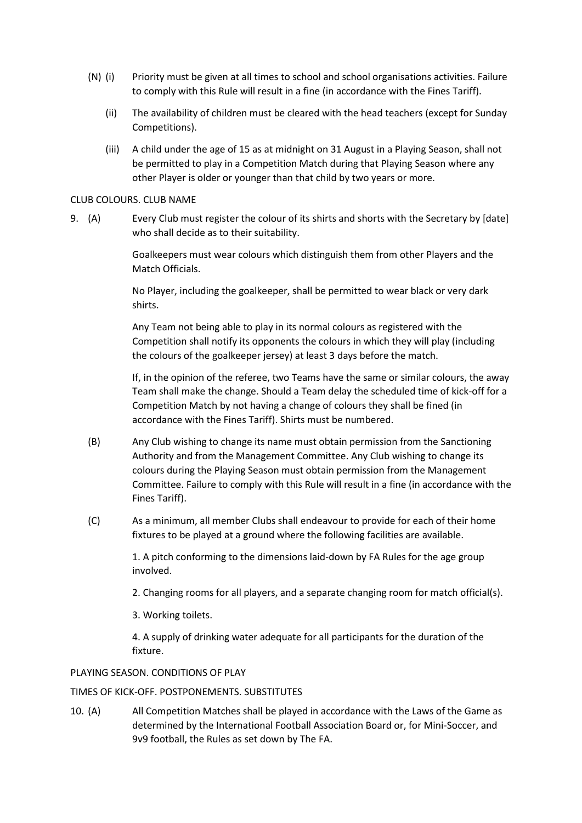- (N) (i) Priority must be given at all times to school and school organisations activities. Failure to comply with this Rule will result in a fine (in accordance with the Fines Tariff).
	- (ii) The availability of children must be cleared with the head teachers (except for Sunday Competitions).
	- (iii) A child under the age of 15 as at midnight on 31 August in a Playing Season, shall not be permitted to play in a Competition Match during that Playing Season where any other Player is older or younger than that child by two years or more.

### CLUB COLOURS. CLUB NAME

9. (A) Every Club must register the colour of its shirts and shorts with the Secretary by [date] who shall decide as to their suitability.

> Goalkeepers must wear colours which distinguish them from other Players and the Match Officials.

No Player, including the goalkeeper, shall be permitted to wear black or very dark shirts.

Any Team not being able to play in its normal colours as registered with the Competition shall notify its opponents the colours in which they will play (including the colours of the goalkeeper jersey) at least 3 days before the match.

If, in the opinion of the referee, two Teams have the same or similar colours, the away Team shall make the change. Should a Team delay the scheduled time of kick-off for a Competition Match by not having a change of colours they shall be fined (in accordance with the Fines Tariff). Shirts must be numbered.

- (B) Any Club wishing to change its name must obtain permission from the Sanctioning Authority and from the Management Committee. Any Club wishing to change its colours during the Playing Season must obtain permission from the Management Committee. Failure to comply with this Rule will result in a fine (in accordance with the Fines Tariff).
- (C) As a minimum, all member Clubs shall endeavour to provide for each of their home fixtures to be played at a ground where the following facilities are available.

1. A pitch conforming to the dimensions laid-down by FA Rules for the age group involved.

- 2. Changing rooms for all players, and a separate changing room for match official(s).
- 3. Working toilets.

4. A supply of drinking water adequate for all participants for the duration of the fixture.

### PLAYING SEASON. CONDITIONS OF PLAY

### TIMES OF KICK-OFF. POSTPONEMENTS. SUBSTITUTES

10. (A) All Competition Matches shall be played in accordance with the Laws of the Game as determined by the International Football Association Board or, for Mini-Soccer, and 9v9 football, the Rules as set down by The FA.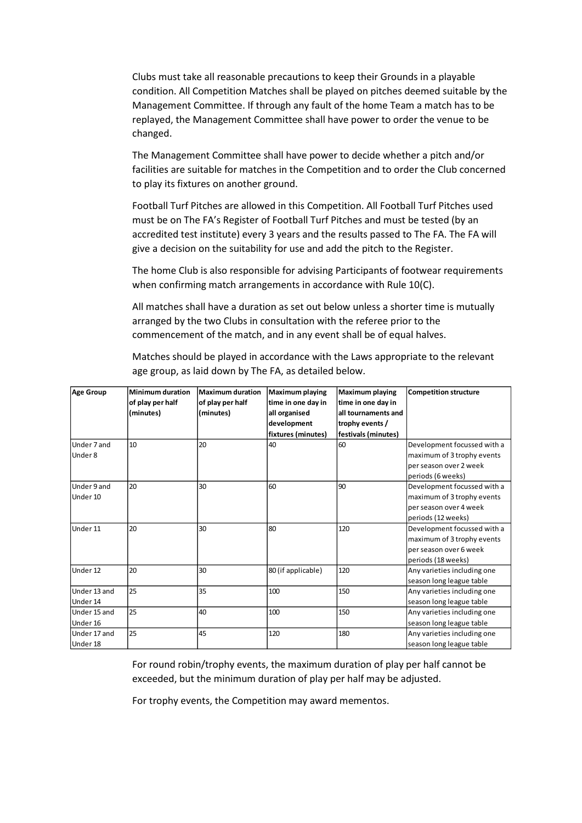Clubs must take all reasonable precautions to keep their Grounds in a playable condition. All Competition Matches shall be played on pitches deemed suitable by the Management Committee. If through any fault of the home Team a match has to be replayed, the Management Committee shall have power to order the venue to be changed.

The Management Committee shall have power to decide whether a pitch and/or facilities are suitable for matches in the Competition and to order the Club concerned to play its fixtures on another ground.

Football Turf Pitches are allowed in this Competition. All Football Turf Pitches used must be on The FA's Register of Football Turf Pitches and must be tested (by an accredited test institute) every 3 years and the results passed to The FA. The FA will give a decision on the suitability for use and add the pitch to the Register.

The home Club is also responsible for advising Participants of footwear requirements when confirming match arrangements in accordance with Rule 10(C).

All matches shall have a duration as set out below unless a shorter time is mutually arranged by the two Clubs in consultation with the referee prior to the commencement of the match, and in any event shall be of equal halves.

Matches should be played in accordance with the Laws appropriate to the relevant age group, as laid down by The FA, as detailed below.

| Age Group                | Minimum duration<br>of play per half<br>(minutes) | <b>Maximum duration</b><br>of play per half<br>(minutes) | <b>Maximum playing</b><br>time in one day in<br>all organised<br>development<br>fixtures (minutes) | <b>Maximum playing</b><br>time in one day in<br>all tournaments and<br>trophy events /<br>festivals (minutes) | <b>Competition structure</b>                                                                              |
|--------------------------|---------------------------------------------------|----------------------------------------------------------|----------------------------------------------------------------------------------------------------|---------------------------------------------------------------------------------------------------------------|-----------------------------------------------------------------------------------------------------------|
| Under 7 and<br>Under 8   | 10                                                | 20                                                       | 40                                                                                                 | 60                                                                                                            | Development focussed with a<br>maximum of 3 trophy events<br>per season over 2 week<br>periods (6 weeks)  |
| Under 9 and<br>Under 10  | 20                                                | 30                                                       | 60                                                                                                 | 90                                                                                                            | Development focussed with a<br>maximum of 3 trophy events<br>per season over 4 week<br>periods (12 weeks) |
| Under 11                 | 20                                                | 30                                                       | 80                                                                                                 | 120                                                                                                           | Development focussed with a<br>maximum of 3 trophy events<br>per season over 6 week<br>periods (18 weeks) |
| Under 12                 | 20                                                | 30                                                       | 80 (if applicable)                                                                                 | 120                                                                                                           | Any varieties including one<br>season long league table                                                   |
| Under 13 and<br>Under 14 | 25                                                | 35                                                       | 100                                                                                                | 150                                                                                                           | Any varieties including one<br>season long league table                                                   |
| Under 15 and<br>Under 16 | 25                                                | 40                                                       | 100                                                                                                | 150                                                                                                           | Any varieties including one<br>season long league table                                                   |
| Under 17 and<br>Under 18 | 25                                                | 45                                                       | 120                                                                                                | 180                                                                                                           | Any varieties including one<br>season long league table                                                   |

For round robin/trophy events, the maximum duration of play per half cannot be exceeded, but the minimum duration of play per half may be adjusted.

For trophy events, the Competition may award mementos.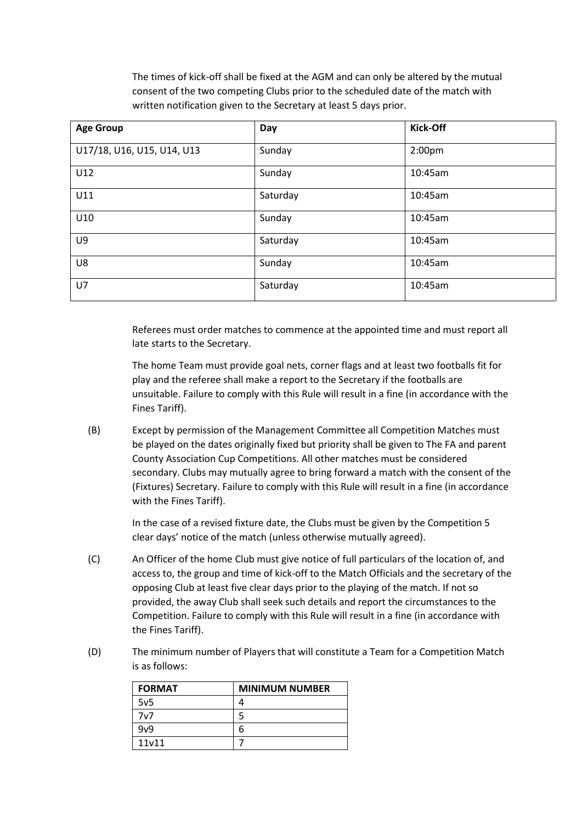The times of kick-off shall be fixed at the AGM and can only be altered by the mutual consent of the two competing Clubs prior to the scheduled date of the match with written notification given to the Secretary at least 5 days prior.

| <b>Age Group</b>           | Day      | <b>Kick-Off</b>    |
|----------------------------|----------|--------------------|
| U17/18, U16, U15, U14, U13 | Sunday   | 2:00 <sub>pm</sub> |
| U12                        | Sunday   | 10:45am            |
| U11                        | Saturday | 10:45am            |
| U10                        | Sunday   | 10:45am            |
| U9                         | Saturday | 10:45am            |
| U8                         | Sunday   | 10:45am            |
| U7                         | Saturday | 10:45am            |

Referees must order matches to commence at the appointed time and must report all late starts to the Secretary.

The home Team must provide goal nets, corner flags and at least two footballs fit for play and the referee shall make a report to the Secretary if the footballs are unsuitable. Failure to comply with this Rule will result in a fine (in accordance with the Fines Tariff).

(B) Except by permission of the Management Committee all Competition Matches must be played on the dates originally fixed but priority shall be given to The FA and parent County Association Cup Competitions. All other matches must be considered secondary. Clubs may mutually agree to bring forward a match with the consent of the (Fixtures) Secretary. Failure to comply with this Rule will result in a fine (in accordance with the Fines Tariff).

> In the case of a revised fixture date, the Clubs must be given by the Competition 5 clear days' notice of the match (unless otherwise mutually agreed).

- (C) An Officer of the home Club must give notice of full particulars of the location of, and access to, the group and time of kick-off to the Match Officials and the secretary of the opposing Club at least five clear days prior to the playing of the match. If not so provided, the away Club shall seek such details and report the circumstances to the Competition. Failure to comply with this Rule will result in a fine (in accordance with the Fines Tariff).
- (D) The minimum number of Players that will constitute a Team for a Competition Match is as follows:

| <b>FORMAT</b>   | <b>MINIMUM NUMBER</b> |
|-----------------|-----------------------|
| 5v <sub>5</sub> |                       |
| 7v7             |                       |
| 9v9             | 6                     |
| 11v11           |                       |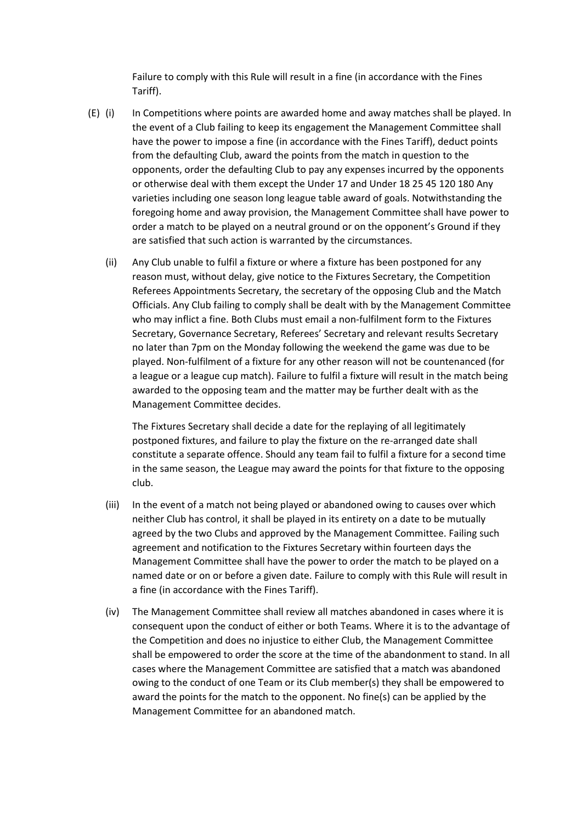Failure to comply with this Rule will result in a fine (in accordance with the Fines Tariff).

- (E) (i) In Competitions where points are awarded home and away matches shall be played. In the event of a Club failing to keep its engagement the Management Committee shall have the power to impose a fine (in accordance with the Fines Tariff), deduct points from the defaulting Club, award the points from the match in question to the opponents, order the defaulting Club to pay any expenses incurred by the opponents or otherwise deal with them except the Under 17 and Under 18 25 45 120 180 Any varieties including one season long league table award of goals. Notwithstanding the foregoing home and away provision, the Management Committee shall have power to order a match to be played on a neutral ground or on the opponent's Ground if they are satisfied that such action is warranted by the circumstances.
	- (ii) Any Club unable to fulfil a fixture or where a fixture has been postponed for any reason must, without delay, give notice to the Fixtures Secretary, the Competition Referees Appointments Secretary, the secretary of the opposing Club and the Match Officials. Any Club failing to comply shall be dealt with by the Management Committee who may inflict a fine. Both Clubs must email a non-fulfilment form to the Fixtures Secretary, Governance Secretary, Referees' Secretary and relevant results Secretary no later than 7pm on the Monday following the weekend the game was due to be played. Non-fulfilment of a fixture for any other reason will not be countenanced (for a league or a league cup match). Failure to fulfil a fixture will result in the match being awarded to the opposing team and the matter may be further dealt with as the Management Committee decides.

The Fixtures Secretary shall decide a date for the replaying of all legitimately postponed fixtures, and failure to play the fixture on the re-arranged date shall constitute a separate offence. Should any team fail to fulfil a fixture for a second time in the same season, the League may award the points for that fixture to the opposing club.

- (iii) In the event of a match not being played or abandoned owing to causes over which neither Club has control, it shall be played in its entirety on a date to be mutually agreed by the two Clubs and approved by the Management Committee. Failing such agreement and notification to the Fixtures Secretary within fourteen days the Management Committee shall have the power to order the match to be played on a named date or on or before a given date. Failure to comply with this Rule will result in a fine (in accordance with the Fines Tariff).
- (iv) The Management Committee shall review all matches abandoned in cases where it is consequent upon the conduct of either or both Teams. Where it is to the advantage of the Competition and does no injustice to either Club, the Management Committee shall be empowered to order the score at the time of the abandonment to stand. In all cases where the Management Committee are satisfied that a match was abandoned owing to the conduct of one Team or its Club member(s) they shall be empowered to award the points for the match to the opponent. No fine(s) can be applied by the Management Committee for an abandoned match.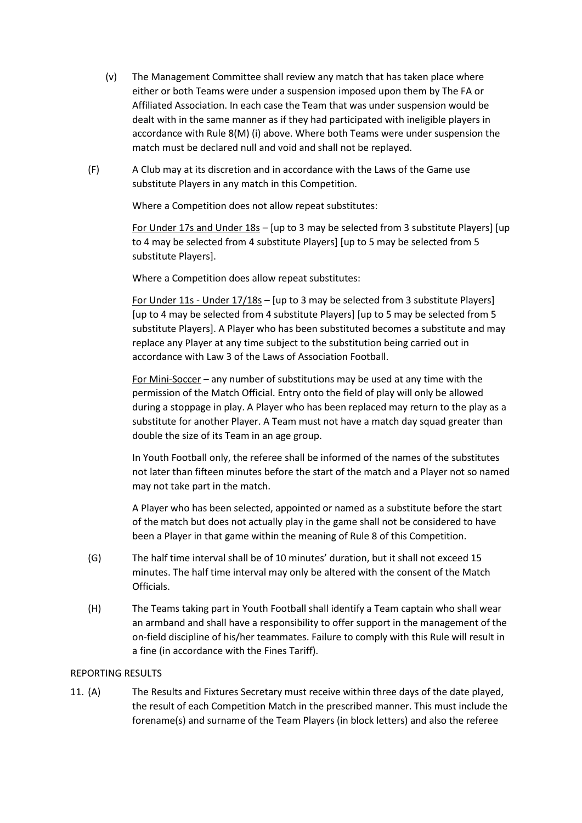- (v) The Management Committee shall review any match that has taken place where either or both Teams were under a suspension imposed upon them by The FA or Affiliated Association. In each case the Team that was under suspension would be dealt with in the same manner as if they had participated with ineligible players in accordance with Rule 8(M) (i) above. Where both Teams were under suspension the match must be declared null and void and shall not be replayed.
- (F) A Club may at its discretion and in accordance with the Laws of the Game use substitute Players in any match in this Competition.

Where a Competition does not allow repeat substitutes:

For Under 17s and Under 18s – [up to 3 may be selected from 3 substitute Players] [up to 4 may be selected from 4 substitute Players] [up to 5 may be selected from 5 substitute Players].

Where a Competition does allow repeat substitutes:

For Under 11s - Under 17/18s – [up to 3 may be selected from 3 substitute Players] [up to 4 may be selected from 4 substitute Players] [up to 5 may be selected from 5 substitute Players]. A Player who has been substituted becomes a substitute and may replace any Player at any time subject to the substitution being carried out in accordance with Law 3 of the Laws of Association Football.

For Mini-Soccer – any number of substitutions may be used at any time with the permission of the Match Official. Entry onto the field of play will only be allowed during a stoppage in play. A Player who has been replaced may return to the play as a substitute for another Player. A Team must not have a match day squad greater than double the size of its Team in an age group.

In Youth Football only, the referee shall be informed of the names of the substitutes not later than fifteen minutes before the start of the match and a Player not so named may not take part in the match.

A Player who has been selected, appointed or named as a substitute before the start of the match but does not actually play in the game shall not be considered to have been a Player in that game within the meaning of Rule 8 of this Competition.

- (G) The half time interval shall be of 10 minutes' duration, but it shall not exceed 15 minutes. The half time interval may only be altered with the consent of the Match Officials.
- (H) The Teams taking part in Youth Football shall identify a Team captain who shall wear an armband and shall have a responsibility to offer support in the management of the on-field discipline of his/her teammates. Failure to comply with this Rule will result in a fine (in accordance with the Fines Tariff).

# REPORTING RESULTS

11. (A) The Results and Fixtures Secretary must receive within three days of the date played, the result of each Competition Match in the prescribed manner. This must include the forename(s) and surname of the Team Players (in block letters) and also the referee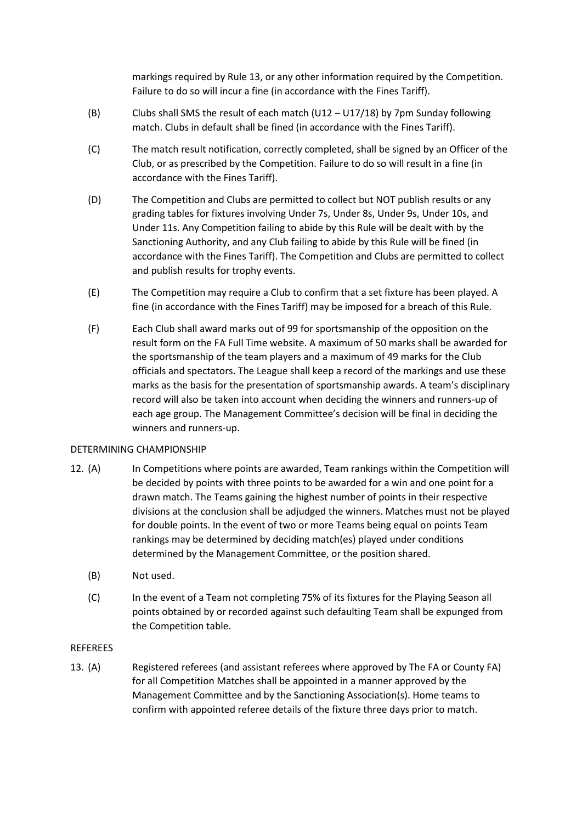markings required by Rule 13, or any other information required by the Competition. Failure to do so will incur a fine (in accordance with the Fines Tariff).

- (B) Clubs shall SMS the result of each match (U12 U17/18) by 7pm Sunday following match. Clubs in default shall be fined (in accordance with the Fines Tariff).
- (C) The match result notification, correctly completed, shall be signed by an Officer of the Club, or as prescribed by the Competition. Failure to do so will result in a fine (in accordance with the Fines Tariff).
- (D) The Competition and Clubs are permitted to collect but NOT publish results or any grading tables for fixtures involving Under 7s, Under 8s, Under 9s, Under 10s, and Under 11s. Any Competition failing to abide by this Rule will be dealt with by the Sanctioning Authority, and any Club failing to abide by this Rule will be fined (in accordance with the Fines Tariff). The Competition and Clubs are permitted to collect and publish results for trophy events.
- (E) The Competition may require a Club to confirm that a set fixture has been played. A fine (in accordance with the Fines Tariff) may be imposed for a breach of this Rule.
- (F) Each Club shall award marks out of 99 for sportsmanship of the opposition on the result form on the FA Full Time website. A maximum of 50 marks shall be awarded for the sportsmanship of the team players and a maximum of 49 marks for the Club officials and spectators. The League shall keep a record of the markings and use these marks as the basis for the presentation of sportsmanship awards. A team's disciplinary record will also be taken into account when deciding the winners and runners-up of each age group. The Management Committee's decision will be final in deciding the winners and runners-up.

### DETERMINING CHAMPIONSHIP

- 12. (A) In Competitions where points are awarded, Team rankings within the Competition will be decided by points with three points to be awarded for a win and one point for a drawn match. The Teams gaining the highest number of points in their respective divisions at the conclusion shall be adjudged the winners. Matches must not be played for double points. In the event of two or more Teams being equal on points Team rankings may be determined by deciding match(es) played under conditions determined by the Management Committee, or the position shared.
	- (B) Not used.
	- (C) In the event of a Team not completing 75% of its fixtures for the Playing Season all points obtained by or recorded against such defaulting Team shall be expunged from the Competition table.

### REFEREES

13. (A) Registered referees (and assistant referees where approved by The FA or County FA) for all Competition Matches shall be appointed in a manner approved by the Management Committee and by the Sanctioning Association(s). Home teams to confirm with appointed referee details of the fixture three days prior to match.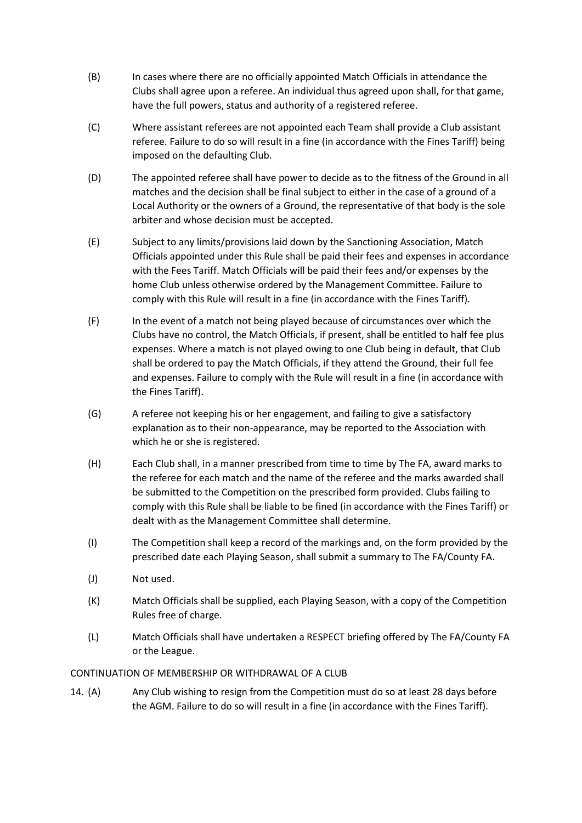- (B) In cases where there are no officially appointed Match Officials in attendance the Clubs shall agree upon a referee. An individual thus agreed upon shall, for that game, have the full powers, status and authority of a registered referee.
- (C) Where assistant referees are not appointed each Team shall provide a Club assistant referee. Failure to do so will result in a fine (in accordance with the Fines Tariff) being imposed on the defaulting Club.
- (D) The appointed referee shall have power to decide as to the fitness of the Ground in all matches and the decision shall be final subject to either in the case of a ground of a Local Authority or the owners of a Ground, the representative of that body is the sole arbiter and whose decision must be accepted.
- (E) Subject to any limits/provisions laid down by the Sanctioning Association, Match Officials appointed under this Rule shall be paid their fees and expenses in accordance with the Fees Tariff. Match Officials will be paid their fees and/or expenses by the home Club unless otherwise ordered by the Management Committee. Failure to comply with this Rule will result in a fine (in accordance with the Fines Tariff).
- (F) In the event of a match not being played because of circumstances over which the Clubs have no control, the Match Officials, if present, shall be entitled to half fee plus expenses. Where a match is not played owing to one Club being in default, that Club shall be ordered to pay the Match Officials, if they attend the Ground, their full fee and expenses. Failure to comply with the Rule will result in a fine (in accordance with the Fines Tariff).
- (G) A referee not keeping his or her engagement, and failing to give a satisfactory explanation as to their non-appearance, may be reported to the Association with which he or she is registered.
- (H) Each Club shall, in a manner prescribed from time to time by The FA, award marks to the referee for each match and the name of the referee and the marks awarded shall be submitted to the Competition on the prescribed form provided. Clubs failing to comply with this Rule shall be liable to be fined (in accordance with the Fines Tariff) or dealt with as the Management Committee shall determine.
- (I) The Competition shall keep a record of the markings and, on the form provided by the prescribed date each Playing Season, shall submit a summary to The FA/County FA.
- (J) Not used.
- (K) Match Officials shall be supplied, each Playing Season, with a copy of the Competition Rules free of charge.
- (L) Match Officials shall have undertaken a RESPECT briefing offered by The FA/County FA or the League.

### CONTINUATION OF MEMBERSHIP OR WITHDRAWAL OF A CLUB

14. (A) Any Club wishing to resign from the Competition must do so at least 28 days before the AGM. Failure to do so will result in a fine (in accordance with the Fines Tariff).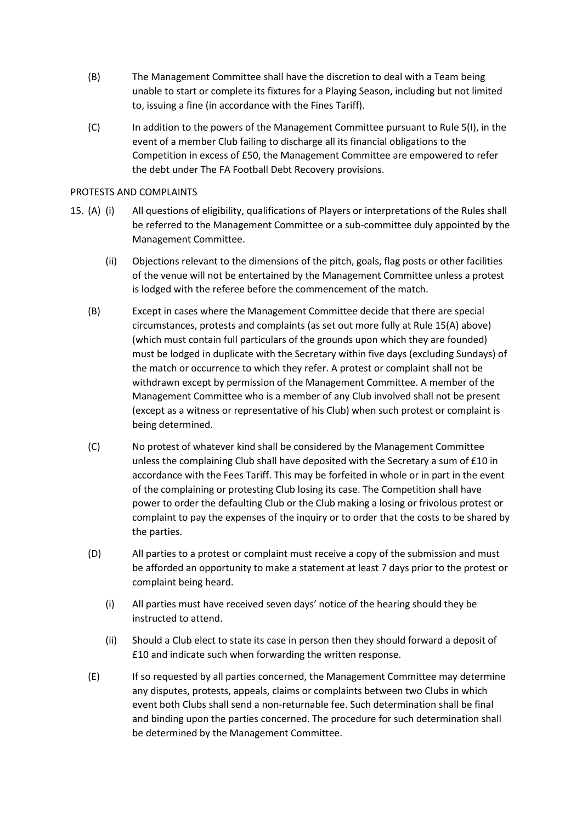- (B) The Management Committee shall have the discretion to deal with a Team being unable to start or complete its fixtures for a Playing Season, including but not limited to, issuing a fine (in accordance with the Fines Tariff).
- (C) In addition to the powers of the Management Committee pursuant to Rule 5(I), in the event of a member Club failing to discharge all its financial obligations to the Competition in excess of £50, the Management Committee are empowered to refer the debt under The FA Football Debt Recovery provisions.

### PROTESTS AND COMPLAINTS

- 15. (A) (i) All questions of eligibility, qualifications of Players or interpretations of the Rules shall be referred to the Management Committee or a sub-committee duly appointed by the Management Committee.
	- (ii) Objections relevant to the dimensions of the pitch, goals, flag posts or other facilities of the venue will not be entertained by the Management Committee unless a protest is lodged with the referee before the commencement of the match.
	- (B) Except in cases where the Management Committee decide that there are special circumstances, protests and complaints (as set out more fully at Rule 15(A) above) (which must contain full particulars of the grounds upon which they are founded) must be lodged in duplicate with the Secretary within five days (excluding Sundays) of the match or occurrence to which they refer. A protest or complaint shall not be withdrawn except by permission of the Management Committee. A member of the Management Committee who is a member of any Club involved shall not be present (except as a witness or representative of his Club) when such protest or complaint is being determined.
	- (C) No protest of whatever kind shall be considered by the Management Committee unless the complaining Club shall have deposited with the Secretary a sum of £10 in accordance with the Fees Tariff. This may be forfeited in whole or in part in the event of the complaining or protesting Club losing its case. The Competition shall have power to order the defaulting Club or the Club making a losing or frivolous protest or complaint to pay the expenses of the inquiry or to order that the costs to be shared by the parties.
	- (D) All parties to a protest or complaint must receive a copy of the submission and must be afforded an opportunity to make a statement at least 7 days prior to the protest or complaint being heard.
		- (i) All parties must have received seven days' notice of the hearing should they be instructed to attend.
		- (ii) Should a Club elect to state its case in person then they should forward a deposit of £10 and indicate such when forwarding the written response.
	- (E) If so requested by all parties concerned, the Management Committee may determine any disputes, protests, appeals, claims or complaints between two Clubs in which event both Clubs shall send a non-returnable fee. Such determination shall be final and binding upon the parties concerned. The procedure for such determination shall be determined by the Management Committee.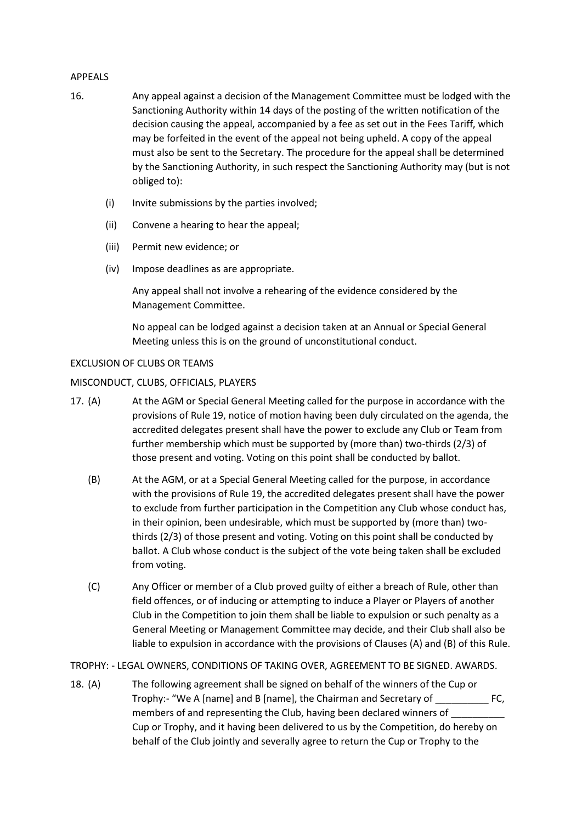#### APPEALS

- 16. Any appeal against a decision of the Management Committee must be lodged with the Sanctioning Authority within 14 days of the posting of the written notification of the decision causing the appeal, accompanied by a fee as set out in the Fees Tariff, which may be forfeited in the event of the appeal not being upheld. A copy of the appeal must also be sent to the Secretary. The procedure for the appeal shall be determined by the Sanctioning Authority, in such respect the Sanctioning Authority may (but is not obliged to):
	- (i) Invite submissions by the parties involved;
	- (ii) Convene a hearing to hear the appeal;
	- (iii) Permit new evidence; or
	- (iv) Impose deadlines as are appropriate.

Any appeal shall not involve a rehearing of the evidence considered by the Management Committee.

No appeal can be lodged against a decision taken at an Annual or Special General Meeting unless this is on the ground of unconstitutional conduct.

### EXCLUSION OF CLUBS OR TEAMS

### MISCONDUCT, CLUBS, OFFICIALS, PLAYERS

- 17. (A) At the AGM or Special General Meeting called for the purpose in accordance with the provisions of Rule 19, notice of motion having been duly circulated on the agenda, the accredited delegates present shall have the power to exclude any Club or Team from further membership which must be supported by (more than) two-thirds (2/3) of those present and voting. Voting on this point shall be conducted by ballot.
	- (B) At the AGM, or at a Special General Meeting called for the purpose, in accordance with the provisions of Rule 19, the accredited delegates present shall have the power to exclude from further participation in the Competition any Club whose conduct has, in their opinion, been undesirable, which must be supported by (more than) twothirds (2/3) of those present and voting. Voting on this point shall be conducted by ballot. A Club whose conduct is the subject of the vote being taken shall be excluded from voting.
	- (C) Any Officer or member of a Club proved guilty of either a breach of Rule, other than field offences, or of inducing or attempting to induce a Player or Players of another Club in the Competition to join them shall be liable to expulsion or such penalty as a General Meeting or Management Committee may decide, and their Club shall also be liable to expulsion in accordance with the provisions of Clauses (A) and (B) of this Rule.

### TROPHY: - LEGAL OWNERS, CONDITIONS OF TAKING OVER, AGREEMENT TO BE SIGNED. AWARDS.

18. (A) The following agreement shall be signed on behalf of the winners of the Cup or Trophy:- "We A [name] and B [name], the Chairman and Secretary of \_\_\_\_\_\_\_\_\_\_ FC, members of and representing the Club, having been declared winners of Cup or Trophy, and it having been delivered to us by the Competition, do hereby on behalf of the Club jointly and severally agree to return the Cup or Trophy to the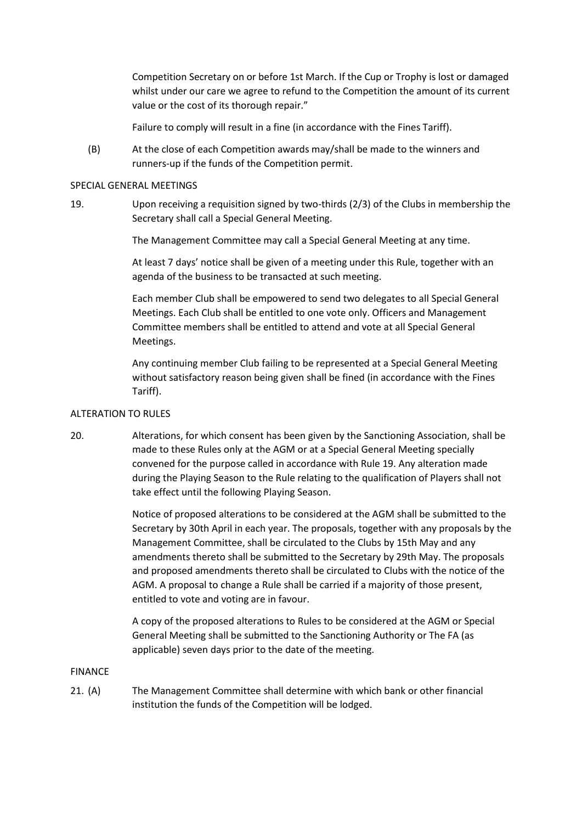Competition Secretary on or before 1st March. If the Cup or Trophy is lost or damaged whilst under our care we agree to refund to the Competition the amount of its current value or the cost of its thorough repair."

Failure to comply will result in a fine (in accordance with the Fines Tariff).

(B) At the close of each Competition awards may/shall be made to the winners and runners-up if the funds of the Competition permit.

### SPECIAL GENERAL MEETINGS

19. Upon receiving a requisition signed by two-thirds (2/3) of the Clubs in membership the Secretary shall call a Special General Meeting.

The Management Committee may call a Special General Meeting at any time.

At least 7 days' notice shall be given of a meeting under this Rule, together with an agenda of the business to be transacted at such meeting.

Each member Club shall be empowered to send two delegates to all Special General Meetings. Each Club shall be entitled to one vote only. Officers and Management Committee members shall be entitled to attend and vote at all Special General Meetings.

Any continuing member Club failing to be represented at a Special General Meeting without satisfactory reason being given shall be fined (in accordance with the Fines Tariff).

## ALTERATION TO RULES

20. Alterations, for which consent has been given by the Sanctioning Association, shall be made to these Rules only at the AGM or at a Special General Meeting specially convened for the purpose called in accordance with Rule 19. Any alteration made during the Playing Season to the Rule relating to the qualification of Players shall not take effect until the following Playing Season.

> Notice of proposed alterations to be considered at the AGM shall be submitted to the Secretary by 30th April in each year. The proposals, together with any proposals by the Management Committee, shall be circulated to the Clubs by 15th May and any amendments thereto shall be submitted to the Secretary by 29th May. The proposals and proposed amendments thereto shall be circulated to Clubs with the notice of the AGM. A proposal to change a Rule shall be carried if a majority of those present, entitled to vote and voting are in favour.

A copy of the proposed alterations to Rules to be considered at the AGM or Special General Meeting shall be submitted to the Sanctioning Authority or The FA (as applicable) seven days prior to the date of the meeting.

### FINANCE

21. (A) The Management Committee shall determine with which bank or other financial institution the funds of the Competition will be lodged.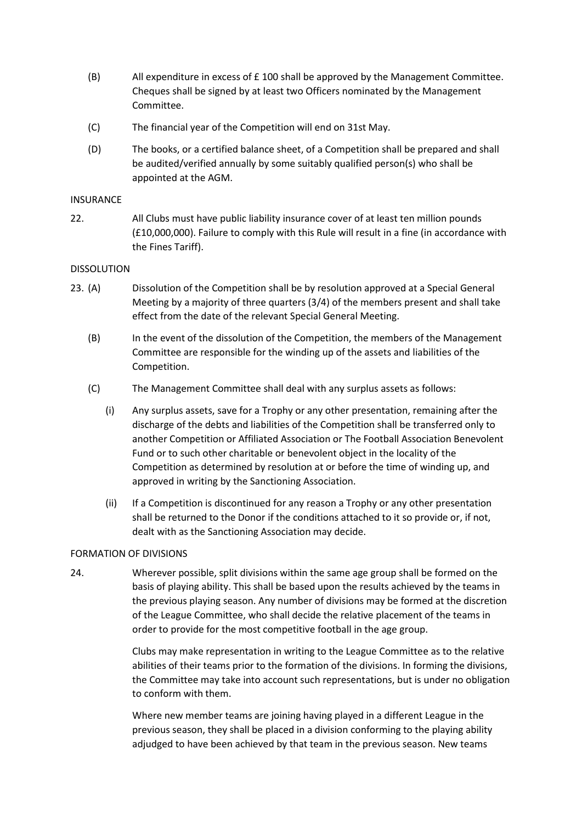- $(B)$  All expenditure in excess of  $E$  100 shall be approved by the Management Committee. Cheques shall be signed by at least two Officers nominated by the Management Committee.
- (C) The financial year of the Competition will end on 31st May.
- (D) The books, or a certified balance sheet, of a Competition shall be prepared and shall be audited/verified annually by some suitably qualified person(s) who shall be appointed at the AGM.

#### INSURANCE

22. All Clubs must have public liability insurance cover of at least ten million pounds (£10,000,000). Failure to comply with this Rule will result in a fine (in accordance with the Fines Tariff).

#### DISSOLUTION

- 23. (A) Dissolution of the Competition shall be by resolution approved at a Special General Meeting by a majority of three quarters (3/4) of the members present and shall take effect from the date of the relevant Special General Meeting.
	- (B) In the event of the dissolution of the Competition, the members of the Management Committee are responsible for the winding up of the assets and liabilities of the Competition.
	- (C) The Management Committee shall deal with any surplus assets as follows:
		- (i) Any surplus assets, save for a Trophy or any other presentation, remaining after the discharge of the debts and liabilities of the Competition shall be transferred only to another Competition or Affiliated Association or The Football Association Benevolent Fund or to such other charitable or benevolent object in the locality of the Competition as determined by resolution at or before the time of winding up, and approved in writing by the Sanctioning Association.
		- (ii) If a Competition is discontinued for any reason a Trophy or any other presentation shall be returned to the Donor if the conditions attached to it so provide or, if not, dealt with as the Sanctioning Association may decide.

### FORMATION OF DIVISIONS

24. Wherever possible, split divisions within the same age group shall be formed on the basis of playing ability. This shall be based upon the results achieved by the teams in the previous playing season. Any number of divisions may be formed at the discretion of the League Committee, who shall decide the relative placement of the teams in order to provide for the most competitive football in the age group.

> Clubs may make representation in writing to the League Committee as to the relative abilities of their teams prior to the formation of the divisions. In forming the divisions, the Committee may take into account such representations, but is under no obligation to conform with them.

Where new member teams are joining having played in a different League in the previous season, they shall be placed in a division conforming to the playing ability adjudged to have been achieved by that team in the previous season. New teams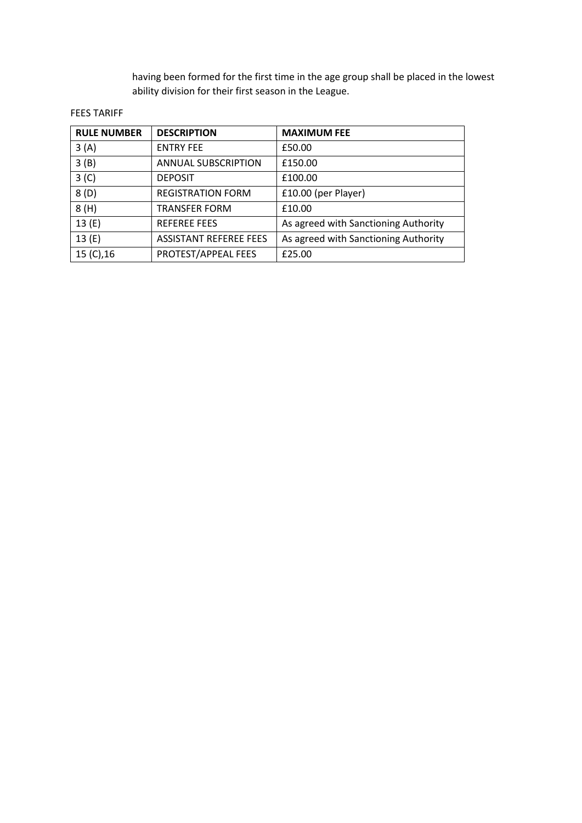having been formed for the first time in the age group shall be placed in the lowest ability division for their first season in the League.

### FEES TARIFF

| <b>RULE NUMBER</b> | <b>DESCRIPTION</b>            | <b>MAXIMUM FEE</b>                   |
|--------------------|-------------------------------|--------------------------------------|
| 3(A)               | <b>ENTRY FEE</b>              | £50.00                               |
| 3(B)               | <b>ANNUAL SUBSCRIPTION</b>    | £150.00                              |
| 3 <sup>(C)</sup>   | <b>DEPOSIT</b>                | £100.00                              |
| 8(D)               | <b>REGISTRATION FORM</b>      | £10.00 (per Player)                  |
| 8(H)               | <b>TRANSFER FORM</b>          | £10.00                               |
| 13(E)              | <b>REFEREE FEES</b>           | As agreed with Sanctioning Authority |
| 13(E)              | <b>ASSISTANT REFEREE FEES</b> | As agreed with Sanctioning Authority |
| 15 (C), 16         | PROTEST/APPEAL FEES           | £25.00                               |